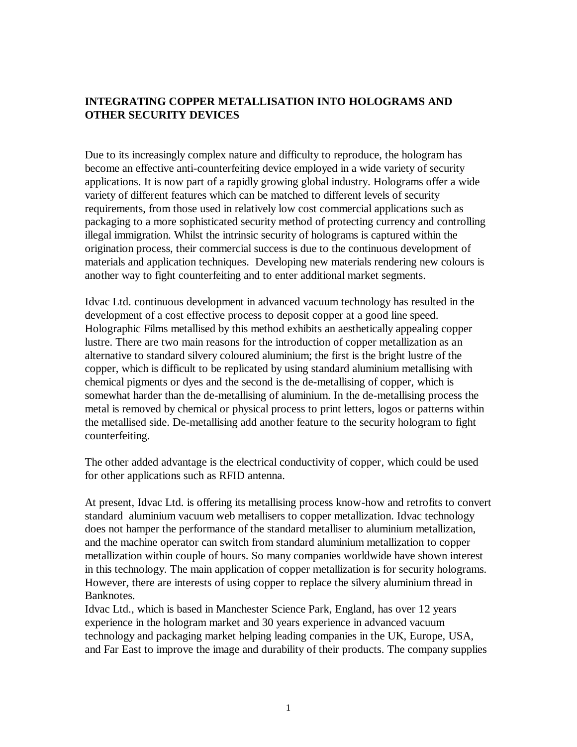## **INTEGRATING COPPER METALLISATION INTO HOLOGRAMS AND OTHER SECURITY DEVICES**

Due to its increasingly complex nature and difficulty to reproduce, the hologram has become an effective anti-counterfeiting device employed in a wide variety of security applications. It is now part of a rapidly growing global industry. Holograms offer a wide variety of different features which can be matched to different levels of security requirements, from those used in relatively low cost commercial applications such as packaging to a more sophisticated security method of protecting currency and controlling illegal immigration. Whilst the intrinsic security of holograms is captured within the origination process, their commercial success is due to the continuous development of materials and application techniques. Developing new materials rendering new colours is another way to fight counterfeiting and to enter additional market segments.

Idvac Ltd. continuous development in advanced vacuum technology has resulted in the development of a cost effective process to deposit copper at a good line speed. Holographic Films metallised by this method exhibits an aesthetically appealing copper lustre. There are two main reasons for the introduction of copper metallization as an alternative to standard silvery coloured aluminium; the first is the bright lustre of the copper, which is difficult to be replicated by using standard aluminium metallising with chemical pigments or dyes and the second is the de-metallising of copper, which is somewhat harder than the de-metallising of aluminium. In the de-metallising process the metal is removed by chemical or physical process to print letters, logos or patterns within the metallised side. De-metallising add another feature to the security hologram to fight counterfeiting.

The other added advantage is the electrical conductivity of copper, which could be used for other applications such as RFID antenna.

At present, Idvac Ltd. is offering its metallising process know-how and retrofits to convert standard aluminium vacuum web metallisers to copper metallization. Idvac technology does not hamper the performance of the standard metalliser to aluminium metallization, and the machine operator can switch from standard aluminium metallization to copper metallization within couple of hours. So many companies worldwide have shown interest in this technology. The main application of copper metallization is for security holograms. However, there are interests of using copper to replace the silvery aluminium thread in Banknotes.

Idvac Ltd., which is based in Manchester Science Park, England, has over 12 years experience in the hologram market and 30 years experience in advanced vacuum technology and packaging market helping leading companies in the UK, Europe, USA, and Far East to improve the image and durability of their products. The company supplies